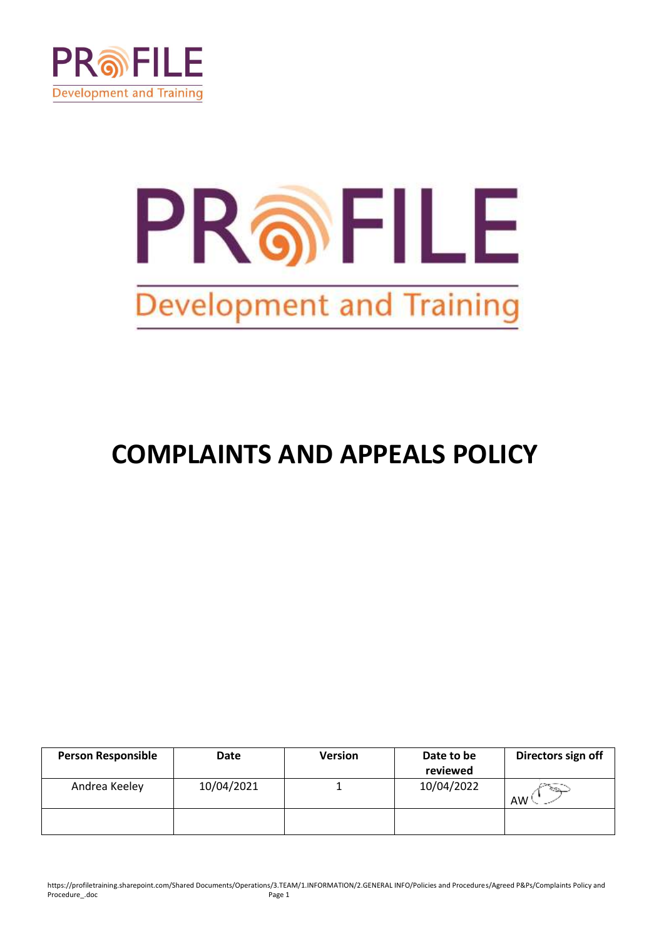

# PROFILE **Development and Training**

# **COMPLAINTS AND APPEALS POLICY**

| <b>Person Responsible</b> | Date       | <b>Version</b> | Date to be | Directors sign off |
|---------------------------|------------|----------------|------------|--------------------|
|                           |            |                | reviewed   |                    |
| Andrea Keeley             | 10/04/2021 |                | 10/04/2022 | ેજી<br>AW '        |
|                           |            |                |            |                    |

https://profiletraining.sharepoint.com/Shared Documents/Operations/3.TEAM/1.INFORMATION/2.GENERAL INFO/Policies and Procedures/Agreed P&Ps/Complaints Policy and Procedure\_.doc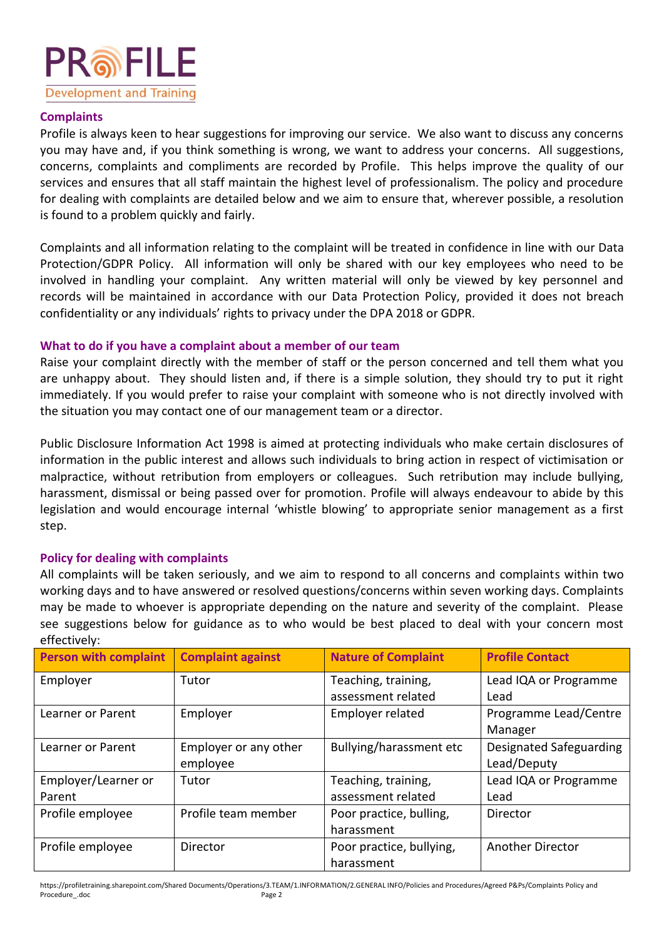

#### **Complaints**

Profile is always keen to hear suggestions for improving our service. We also want to discuss any concerns you may have and, if you think something is wrong, we want to address your concerns. All suggestions, concerns, complaints and compliments are recorded by Profile. This helps improve the quality of our services and ensures that all staff maintain the highest level of professionalism. The policy and procedure for dealing with complaints are detailed below and we aim to ensure that, wherever possible, a resolution is found to a problem quickly and fairly.

Complaints and all information relating to the complaint will be treated in confidence in line with our Data Protection/GDPR Policy. All information will only be shared with our key employees who need to be involved in handling your complaint. Any written material will only be viewed by key personnel and records will be maintained in accordance with our Data Protection Policy, provided it does not breach confidentiality or any individuals' rights to privacy under the DPA 2018 or GDPR.

## **What to do if you have a complaint about a member of our team**

Raise your complaint directly with the member of staff or the person concerned and tell them what you are unhappy about. They should listen and, if there is a simple solution, they should try to put it right immediately. If you would prefer to raise your complaint with someone who is not directly involved with the situation you may contact one of our management team or a director.

Public Disclosure Information Act 1998 is aimed at protecting individuals who make certain disclosures of information in the public interest and allows such individuals to bring action in respect of victimisation or malpractice, without retribution from employers or colleagues. Such retribution may include bullying, harassment, dismissal or being passed over for promotion. Profile will always endeavour to abide by this legislation and would encourage internal 'whistle blowing' to appropriate senior management as a first step.

## **Policy for dealing with complaints**

All complaints will be taken seriously, and we aim to respond to all concerns and complaints within two working days and to have answered or resolved questions/concerns within seven working days. Complaints may be made to whoever is appropriate depending on the nature and severity of the complaint. Please see suggestions below for guidance as to who would be best placed to deal with your concern most effectively:

| <b>Person with complaint</b> | <b>Complaint against</b> | <b>Nature of Complaint</b> | <b>Profile Contact</b>  |
|------------------------------|--------------------------|----------------------------|-------------------------|
| Employer                     | Tutor                    | Teaching, training,        | Lead IQA or Programme   |
|                              |                          | assessment related         | Lead                    |
| Learner or Parent            | Employer                 | Employer related           | Programme Lead/Centre   |
|                              |                          |                            | Manager                 |
| Learner or Parent            | Employer or any other    | Bullying/harassment etc    | Designated Safeguarding |
|                              | employee                 |                            | Lead/Deputy             |
| Employer/Learner or          | Tutor                    | Teaching, training,        | Lead IQA or Programme   |
| Parent                       |                          | assessment related         | Lead                    |
| Profile employee             | Profile team member      | Poor practice, bulling,    | Director                |
|                              |                          | harassment                 |                         |
| Profile employee             | Director                 | Poor practice, bullying,   | <b>Another Director</b> |
|                              |                          | harassment                 |                         |

https://profiletraining.sharepoint.com/Shared Documents/Operations/3.TEAM/1.INFORMATION/2.GENERAL INFO/Policies and Procedures/Agreed P&Ps/Complaints Policy and Procedure .doc